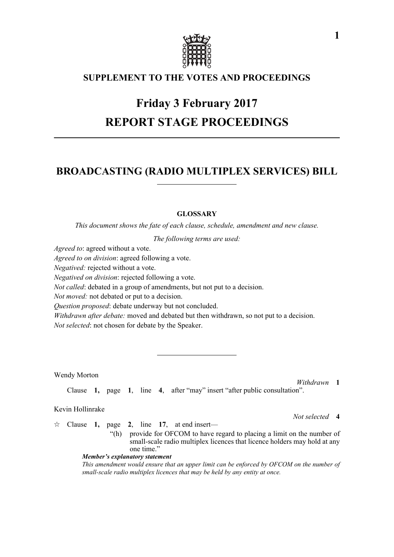

# **SUPPLEMENT TO THE VOTES AND PROCEEDINGS**

# **Friday 3 February 2017 REPORT STAGE PROCEEDINGS**

# **BROADCASTING (RADIO MULTIPLEX SERVICES) BILL**

# **GLOSSARY**

*This document shows the fate of each clause, schedule, amendment and new clause.*

*The following terms are used:*

*Agreed to*: agreed without a vote.

*Agreed to on division*: agreed following a vote.

*Negatived:* rejected without a vote.

*Negatived on division*: rejected following a vote.

*Not called*: debated in a group of amendments, but not put to a decision.

*Not moved:* not debated or put to a decision.

*Question proposed*: debate underway but not concluded.

*Withdrawn after debate:* moved and debated but then withdrawn, so not put to a decision.

*Not selected*: not chosen for debate by the Speaker.

Wendy Morton

*Withdrawn* **1**

*Not selected* **4**

Clause **1,** page **1**, line **4**, after "may" insert "after public consultation".

## Kevin Hollinrake

- $\forall$  Clause **1,** page **2**, line **17**, at end insert—
	- "(h) provide for OFCOM to have regard to placing a limit on the number of small-scale radio multiplex licences that licence holders may hold at any one time'

### *Member's explanatory statement*

*This amendment would ensure that an upper limit can be enforced by OFCOM on the number of small-scale radio multiplex licences that may be held by any entity at once.*